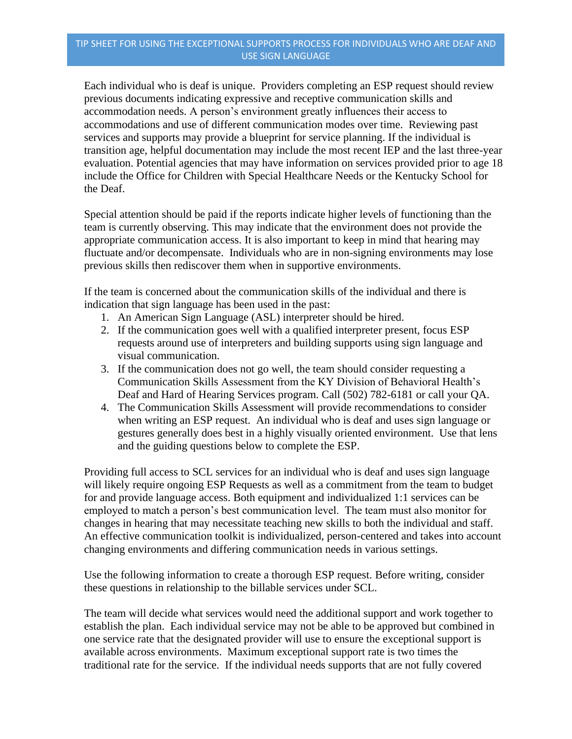Each individual who is deaf is unique. Providers completing an ESP request should review previous documents indicating expressive and receptive communication skills and accommodation needs. A person's environment greatly influences their access to accommodations and use of different communication modes over time. Reviewing past services and supports may provide a blueprint for service planning. If the individual is transition age, helpful documentation may include the most recent IEP and the last three-year evaluation. Potential agencies that may have information on services provided prior to age 18 include the Office for Children with Special Healthcare Needs or the Kentucky School for the Deaf.

Special attention should be paid if the reports indicate higher levels of functioning than the team is currently observing. This may indicate that the environment does not provide the appropriate communication access. It is also important to keep in mind that hearing may fluctuate and/or decompensate. Individuals who are in non-signing environments may lose previous skills then rediscover them when in supportive environments.

If the team is concerned about the communication skills of the individual and there is indication that sign language has been used in the past:

- 1. An American Sign Language (ASL) interpreter should be hired.
- 2. If the communication goes well with a qualified interpreter present, focus ESP requests around use of interpreters and building supports using sign language and visual communication.
- 3. If the communication does not go well, the team should consider requesting a Communication Skills Assessment from the KY Division of Behavioral Health's Deaf and Hard of Hearing Services program. Call (502) 782-6181 or call your QA.
- 4. The Communication Skills Assessment will provide recommendations to consider when writing an ESP request. An individual who is deaf and uses sign language or gestures generally does best in a highly visually oriented environment. Use that lens and the guiding questions below to complete the ESP.

Providing full access to SCL services for an individual who is deaf and uses sign language will likely require ongoing ESP Requests as well as a commitment from the team to budget for and provide language access. Both equipment and individualized 1:1 services can be employed to match a person's best communication level. The team must also monitor for changes in hearing that may necessitate teaching new skills to both the individual and staff. An effective communication toolkit is individualized, person-centered and takes into account changing environments and differing communication needs in various settings.

Use the following information to create a thorough ESP request. Before writing, consider these questions in relationship to the billable services under SCL.

The team will decide what services would need the additional support and work together to establish the plan. Each individual service may not be able to be approved but combined in one service rate that the designated provider will use to ensure the exceptional support is available across environments. Maximum exceptional support rate is two times the traditional rate for the service. If the individual needs supports that are not fully covered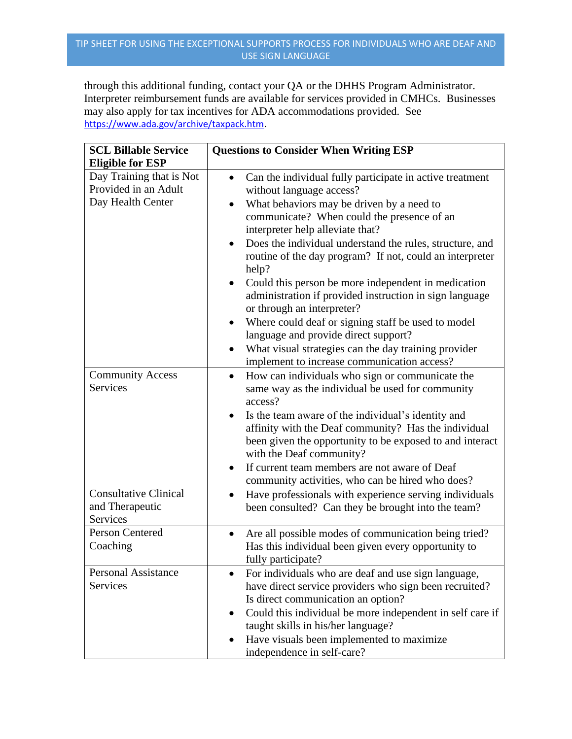through this additional funding, contact your QA or the DHHS Program Administrator. Interpreter reimbursement funds are available for services provided in CMHCs. Businesses may also apply for tax incentives for ADA accommodations provided. See [https://www.ada.gov/archive/taxpack.htm.](https://www.ada.gov/archive/taxpack.htm)

| <b>SCL Billable Service</b><br><b>Eligible for ESP</b>                | <b>Questions to Consider When Writing ESP</b>                                                                                                                                                                                                                                                                                                                                                                                                                                                                                                                                                                                                                                                                          |
|-----------------------------------------------------------------------|------------------------------------------------------------------------------------------------------------------------------------------------------------------------------------------------------------------------------------------------------------------------------------------------------------------------------------------------------------------------------------------------------------------------------------------------------------------------------------------------------------------------------------------------------------------------------------------------------------------------------------------------------------------------------------------------------------------------|
| Day Training that is Not<br>Provided in an Adult<br>Day Health Center | Can the individual fully participate in active treatment<br>$\bullet$<br>without language access?<br>What behaviors may be driven by a need to<br>communicate? When could the presence of an<br>interpreter help alleviate that?<br>Does the individual understand the rules, structure, and<br>routine of the day program? If not, could an interpreter<br>help?<br>Could this person be more independent in medication<br>administration if provided instruction in sign language<br>or through an interpreter?<br>Where could deaf or signing staff be used to model<br>language and provide direct support?<br>What visual strategies can the day training provider<br>implement to increase communication access? |
| <b>Community Access</b><br><b>Services</b>                            | How can individuals who sign or communicate the<br>$\bullet$<br>same way as the individual be used for community<br>access?<br>Is the team aware of the individual's identity and<br>affinity with the Deaf community? Has the individual<br>been given the opportunity to be exposed to and interact<br>with the Deaf community?<br>If current team members are not aware of Deaf<br>community activities, who can be hired who does?                                                                                                                                                                                                                                                                                 |
| <b>Consultative Clinical</b><br>and Therapeutic<br>Services           | Have professionals with experience serving individuals<br>been consulted? Can they be brought into the team?                                                                                                                                                                                                                                                                                                                                                                                                                                                                                                                                                                                                           |
| Person Centered<br>Coaching                                           | Are all possible modes of communication being tried?<br>Has this individual been given every opportunity to<br>fully participate?                                                                                                                                                                                                                                                                                                                                                                                                                                                                                                                                                                                      |
| <b>Personal Assistance</b><br>Services                                | For individuals who are deaf and use sign language,<br>have direct service providers who sign been recruited?<br>Is direct communication an option?<br>Could this individual be more independent in self care if<br>taught skills in his/her language?<br>Have visuals been implemented to maximize<br>independence in self-care?                                                                                                                                                                                                                                                                                                                                                                                      |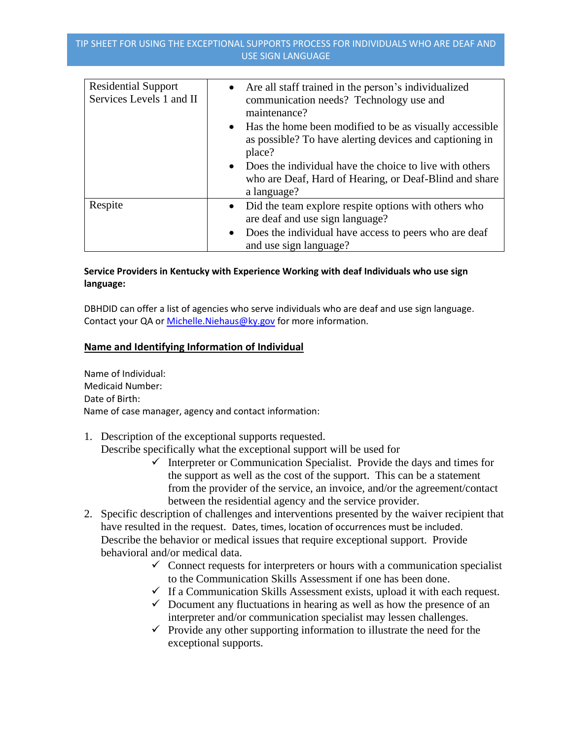| <b>Residential Support</b><br>Services Levels 1 and II | Are all staff trained in the person's individualized<br>$\bullet$<br>communication needs? Technology use and<br>maintenance?<br>• Has the home been modified to be as visually accessible<br>as possible? To have alerting devices and captioning in<br>place?<br>• Does the individual have the choice to live with others<br>who are Deaf, Hard of Hearing, or Deaf-Blind and share<br>a language? |
|--------------------------------------------------------|------------------------------------------------------------------------------------------------------------------------------------------------------------------------------------------------------------------------------------------------------------------------------------------------------------------------------------------------------------------------------------------------------|
| Respite                                                | Did the team explore respite options with others who<br>$\bullet$<br>are deaf and use sign language?<br>Does the individual have access to peers who are deaf<br>$\bullet$<br>and use sign language?                                                                                                                                                                                                 |

# **Service Providers in Kentucky with Experience Working with deaf Individuals who use sign language:**

DBHDID can offer a list of agencies who serve individuals who are deaf and use sign language. Contact your QA or Michelle. Niehaus@ky.gov for more information.

## **Name and Identifying Information of Individual**

Name of Individual: Medicaid Number: Date of Birth: Name of case manager, agency and contact information:

1. Description of the exceptional supports requested.

Describe specifically what the exceptional support will be used for

- $\checkmark$  Interpreter or Communication Specialist. Provide the days and times for the support as well as the cost of the support. This can be a statement from the provider of the service, an invoice, and/or the agreement/contact between the residential agency and the service provider.
- 2. Specific description of challenges and interventions presented by the waiver recipient that have resulted in the request. Dates, times, location of occurrences must be included. Describe the behavior or medical issues that require exceptional support. Provide behavioral and/or medical data.
	- $\checkmark$  Connect requests for interpreters or hours with a communication specialist to the Communication Skills Assessment if one has been done.
	- $\checkmark$  If a Communication Skills Assessment exists, upload it with each request.
	- $\checkmark$  Document any fluctuations in hearing as well as how the presence of an interpreter and/or communication specialist may lessen challenges.
	- $\checkmark$  Provide any other supporting information to illustrate the need for the exceptional supports.